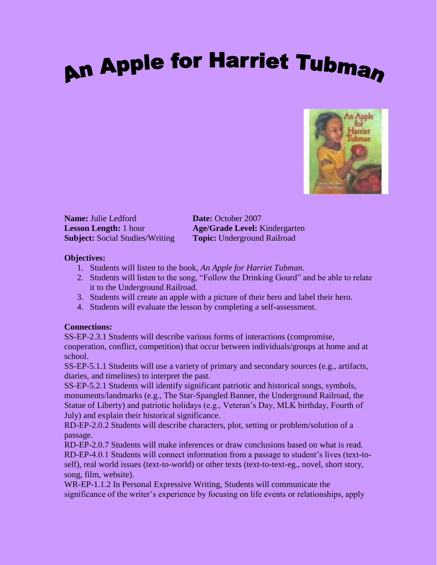# **An Apple for Harriet Tubman**



**Name:** Julie Ledford **Date:** October 2007 **Subject:** Social Studies/Writing **Topic:** Underground Railroad

**Lesson Length:** 1 hour **Age/Grade Level:** Kindergarten

### **Objectives:**

- 1. Students will listen to the book, *An Apple for Harriet Tubman*.
- 2. Students will listen to the song, "Follow the Drinking Gourd" and be able to relate it to the Underground Railroad.
- 3. Students will create an apple with a picture of their hero and label their hero.
- 4. Students will evaluate the lesson by completing a self-assessment.

# **Connections:**

SS-EP-2.3.1 Students will describe various forms of interactions (compromise, cooperation, conflict, competition) that occur between individuals/groups at home and at school.

SS-EP-5.1.1 Students will use a variety of primary and secondary sources (e.g., artifacts, diaries, and timelines) to interpret the past.

SS-EP-5.2.1 Students will identify significant patriotic and historical songs, symbols, monuments/landmarks (e.g., The Star-Spangled Banner, the Underground Railroad, the Statue of Liberty) and patriotic holidays (e.g., Veteran's Day, MLK birthday, Fourth of July) and explain their historical significance.

RD-EP-2.0.2 Students will describe characters, plot, setting or problem/solution of a passage.

RD-EP-2.0.7 Students will make inferences or draw conclusions based on what is read. RD-EP-4.0.1 Students will connect information from a passage to student's lives (text-toself), real world issues (text-to-world) or other texts (text-to-text-eg., novel, short story, song, film, website).

WR-EP-1.1.2 In Personal Expressive Writing, Students will communicate the significance of the writer's experience by focusing on life events or relationships, apply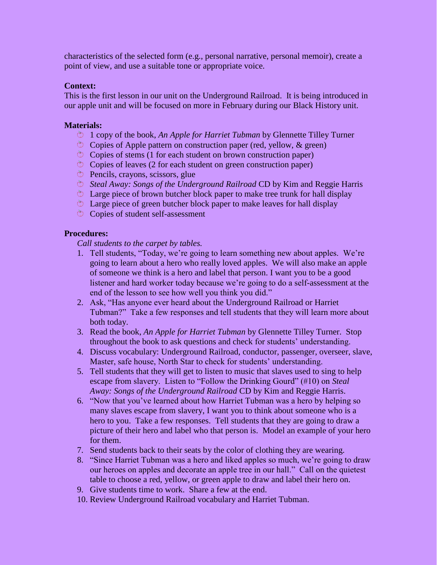characteristics of the selected form (e.g., personal narrative, personal memoir), create a point of view, and use a suitable tone or appropriate voice.

#### **Context:**

This is the first lesson in our unit on the Underground Railroad. It is being introduced in our apple unit and will be focused on more in February during our Black History unit.

#### **Materials:**

- 1 copy of the book, *An Apple for Harriet Tubman* by Glennette Tilley Turner
- $\circ$  Copies of Apple pattern on construction paper (red, yellow, & green)
- $\circ$  Copies of stems (1 for each student on brown construction paper)
- $\circ$  Copies of leaves (2 for each student on green construction paper)
- $\circ$  Pencils, crayons, scissors, glue
- *Steal Away: Songs of the Underground Railroad* CD by Kim and Reggie Harris
- $\circledcirc$  Large piece of brown butcher block paper to make tree trunk for hall display
- $\circ$  Large piece of green butcher block paper to make leaves for hall display
- $\circledcirc$  Copies of student self-assessment

#### **Procedures:**

*Call students to the carpet by tables.*

- 1. Tell students, "Today, we're going to learn something new about apples. We're going to learn about a hero who really loved apples. We will also make an apple of someone we think is a hero and label that person. I want you to be a good listener and hard worker today because we're going to do a self-assessment at the end of the lesson to see how well you think you did."
- 2. Ask, "Has anyone ever heard about the Underground Railroad or Harriet Tubman?" Take a few responses and tell students that they will learn more about both today.
- 3. Read the book, *An Apple for Harriet Tubman* by Glennette Tilley Turner. Stop throughout the book to ask questions and check for students' understanding.
- 4. Discuss vocabulary: Underground Railroad, conductor, passenger, overseer, slave, Master, safe house, North Star to check for students' understanding.
- 5. Tell students that they will get to listen to music that slaves used to sing to help escape from slavery. Listen to "Follow the Drinking Gourd" (#10) on *Steal Away: Songs of the Underground Railroad* CD by Kim and Reggie Harris.
- 6. "Now that you've learned about how Harriet Tubman was a hero by helping so many slaves escape from slavery, I want you to think about someone who is a hero to you. Take a few responses. Tell students that they are going to draw a picture of their hero and label who that person is. Model an example of your hero for them.
- 7. Send students back to their seats by the color of clothing they are wearing.
- 8. "Since Harriet Tubman was a hero and liked apples so much, we're going to draw our heroes on apples and decorate an apple tree in our hall." Call on the quietest table to choose a red, yellow, or green apple to draw and label their hero on.
- 9. Give students time to work. Share a few at the end.
- 10. Review Underground Railroad vocabulary and Harriet Tubman.